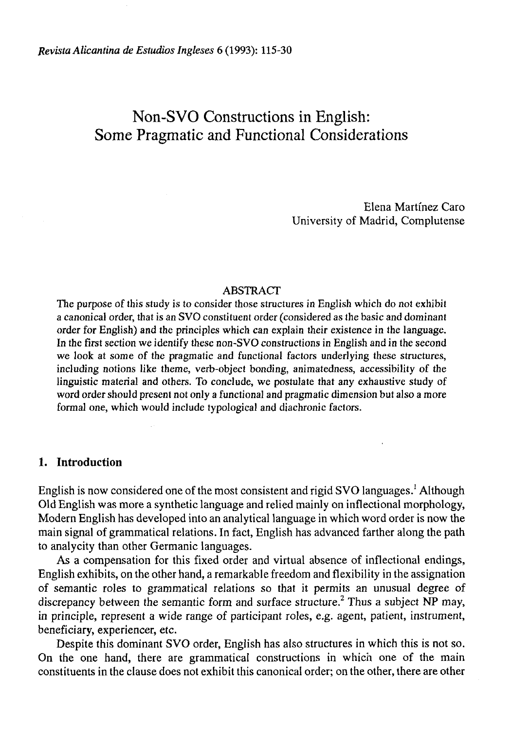# Non-SVO Constructions in English: Some Pragmatic and Functional Considerations

Elena Martínez Caro University of Madrid, Complutense

# ABSTRACT

The purpose of this study is to consider those structures in English which do not exhibit a canonical order, that is an SVO constituent order (considered as the basic and dominant order for English) and the principies which can explain their existence in the language. In the first section we identify these non-SVO constructions in English and in the second we look at some of the pragmatic and functional factors underlying these structures, including notions like theme, verb-object bonding, animatedness, accessibility of the linguistic material and others. To conclude, we postulate that any exhaustive study of word order should present not only a functional and pragmatic dimension but also a more formal one, which would include typological and diachronic factors.

## **1. Introduction**

English is now considered one of the most consistent and rigid SVO languages.<sup>1</sup> Although Oíd English was more a synthetic language and relied mainly on inflectional morphology, Modern English has developed into an analytical language in which word order is now the main signal of grammatical relations. In fact, English has advanced farther along the path to analycity than other Germanic languages.

As a compensation for this fixed order and virtual absence of inflectional endings, English exhibits, on the other hand, a remarkable freedom and flexibility in the assignation of semantic roles to grammatical relations so that it permits an unusual degree of discrepancy between the semantic form and surface structure.<sup>2</sup> Thus a subject NP may, in principie, represent a wide range of participant roles, e.g. agent, patient, instrument, beneficiary, experiencer, etc.

Despite this dominant SVO order, English has also structures in which this is not so. On the one hand, there are grammatical constructions in which one of the main constituents in the clause does not exhibit this canonical order; on the other, there are other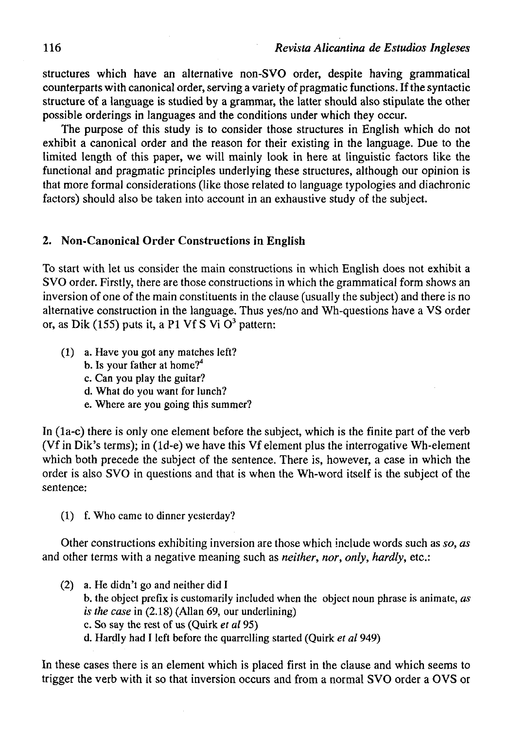structures which have an alternative non-SVO order, despite having grammatical counterparts with canonical order, serving a variety of pragmatic functions. If the syntactic structure of a language is studied by a grammar, the latter should also stipulate the other possible orderings in languages and the conditions under which they occur.

The purpose of this study is to consider those structures in English which do not exhibit a canonical order and the reason for their existing in the language. Due to the limited length of this paper, we will mainly look in here at linguistic factors like the functional and pragmatic principies underlying these structures, although our opinión is that more formal considerations (like those related to language typologies and diachronic factors) should also be taken into account in an exhaustive study of the subject.

## 2. Non-Canonical Order Constructions in English

To start with let us consider the main constructions in which English does not exhibit a SVO order. Firstly, there are those constructions in which the grammatical form shows an inversion of one of the main constituents in the clause (usually the subject) and there is no alternative construction in the language. Thus yes/no and Wh-questions have a VS order or, as Dik (155) puts it, a P1 Vf S Vi  $O<sup>3</sup>$  pattern:

- (1) a. Have you got any matches left?
	- b. Is your father at home?<sup>4</sup>
	- c. Can you play the guitar?
	- d. What do you want for lunch?
	- e. Where are you going this summer?

In (la-c) there is only one element before the subject, which is the finite part of the verb (Vf in Dik's terms); in (ld-e) we have this Vf element plus the interrogative Wh-element which both precede the subject of the sentence. There is, however, a case in which the order is also SVO in questions and that is when the Wh-word itself is the subject of the sentence:

(1) f. Who came to dinner yesterday?

Other constructions exhibiting inversión are those which include words such as *so, as*  and other terms with a negative meaning such as *neither, ñor, only, hardly,* etc.:

- (2) a. He didn't go and neither did I b. the object prefix is customarily included when the object noun phrase is anímate, *as is the case* in (2.18) (Alian 69, our underlining) c. So say the rest of us (Quirk *et al* 95)
	- d. Hardly had I left before the quarrelling started (Quirk *et al* 949)

In these cases there is an element which is placed first in the clause and which seems to trigger the verb with it so that inversión occurs and from a normal SVO order a OVS or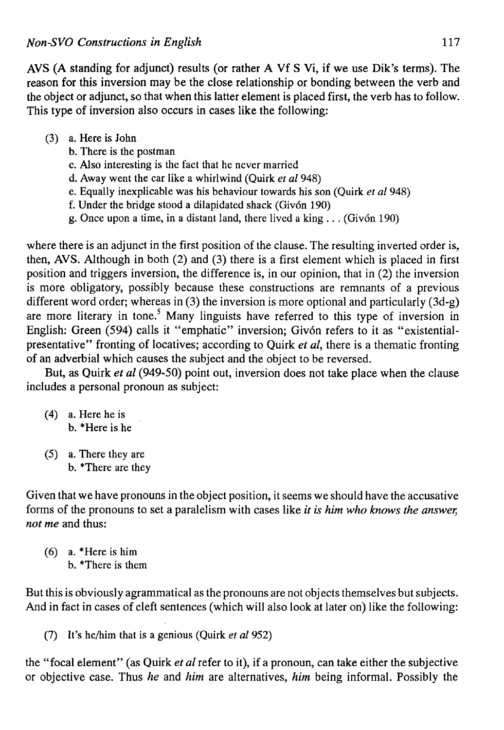AVS (A standing for adjunct) results (or rather A Vf S Vi, if we use Dik's terms). The reason for this inversión may be the cióse relationship or bonding between the verb and the object or adjunct, so that when this latter element is placed first, the verb has to follow. This type of inversion also occurs in cases like the following:

- (3) a. Here is John
	- b. There is the postman
	- c. Also interesting is the fact that he never married
	- d. Away went the car like a whirlwind (Quirk *et al* 948)
	- e. Equally inexplicable was his behaviour towards his son (Quirk *et al* 948)
	- f. Under the bridge stood a dilapidated shack (Givón 190)
	- g. Once upon a time, in a distant land, there lived a king .. . (Givón 190)

where there is an adjunct in the first position of the clause. The resulting inverted order is, then, AVS. Although in both (2) and (3) there is a first element which is placed in first position and triggers inversion, the difference is, in our opinion, that in  $(2)$  the inversion is more obligatory, possibly because these constructions are remnants of a previous different word order; whereas in (3) the inversion is more optional and particularly (3d-g) are more literary in tone.<sup>5</sup> Many linguists have referred to this type of inversion in English: Green (594) calls it "emphatic" inversion; Givón refers to it as "existentialpresentative" fronting of locatives; according to Quirk *et al,* there is a thematic fronting of an adverbial which causes the subject and the object to be reversed.

But, as Quirk *et al* (949-50) point out, inversion does not take place when the clause includes a personal pronoun as subject:

- (4) a. Here he is b. \*Here is he
- (5) a. There they are b. \*There are they

Given that we have pronouns in the object position, it seems we should have the accusative forms of the pronouns to set a paralelism with cases like *it is him who knows the answer, not me* and thus:

(6) a. \*Here is him b. \*There is them

But this is obviously agrammatical as the pronouns are not objects themselves but subjects. And in fact in cases of cleft sentences (which will also look at later on) like the following:

(7) It's he/him that is a genious (Quirk *et al* 952)

the "focal element" (as Quirk *et al* refer to it), if a pronoun, can take either the subjective or objective case. Thus *he* and *him* are alternatives, *him* being informal. Possibly the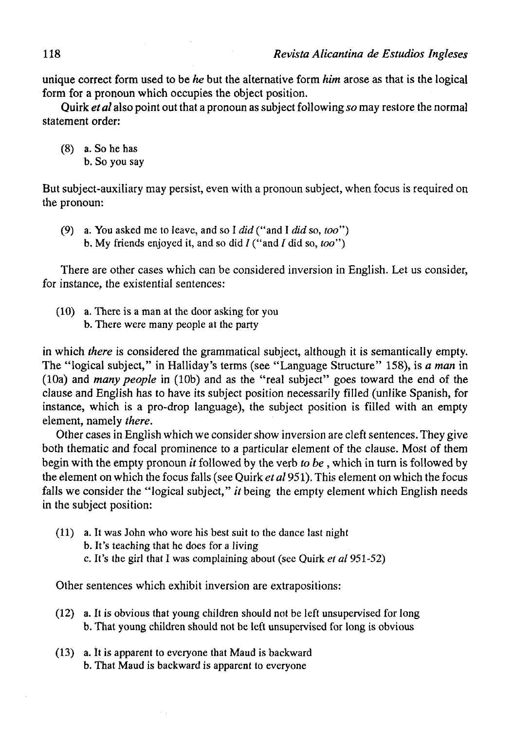**unique correct** form used **to be** *he* but the alternative form *him* aróse as that is the **logical form for** a **pronoun** which occupies the object position.

**Quirk** *et al* also point out that a pronoun as subject following *so* may restore the normal statement orden

(8) a. So he has b. So you say

But subject-auxiliary may persist, even with a pronoun subject, when focus is required on the pronoun:

(9) a. You asked me to leave, and so I *did* ("and I *did* so, *too")*  b. My friends enjoyed it, and so did  $I("and I did so, too")$ 

There are other cases which can be considered inversión in Englísh. Let us consider, for instance, the existential sentences:

(10) a. There is a man at the door asking for you b. There were many people at the party

in which *there* is considered the grammatical subject, although it is semantically empty. The "logical subject," in Halliday's terms (see "Language Structure" 158), is *a man* in (10a) and *many people* in (10b) and as the "real subject" goes toward the end of the clause and English has to have its subject position necessarily filled (unlike Spanish, for instance, which is a pro-drop language), the subject position is filled with an empty element, namely *there.* 

Other cases in English which we consider show inversión are cleft sentences. They give both thematic and focal prominence to a particular element of the clause. Most of them begin with the empty pronoun *it* followed by the verb *to be*, which in turn is followed by the element on which the focus falls (see Quirk *et al* 951). This element on which the focus falls we consider the "logical subject," it being the empty element which English needs in the subject position:

(11) a. It was John who wore his best suit to the dance last night b. It's teaching that he does for a living c. It's the girl that I was complaining about (see Quirk *et al* 951-52)

Other sentences which exhibit inversión are extrapositions:

- (12) a. It is obvious that young children should not be left unsupervised for Iong b. That young children should not be left unsupervised for long is obvious
- (13) a. It is apparent to everyone that Maud is backward b. That Maud is backward is apparent to everyone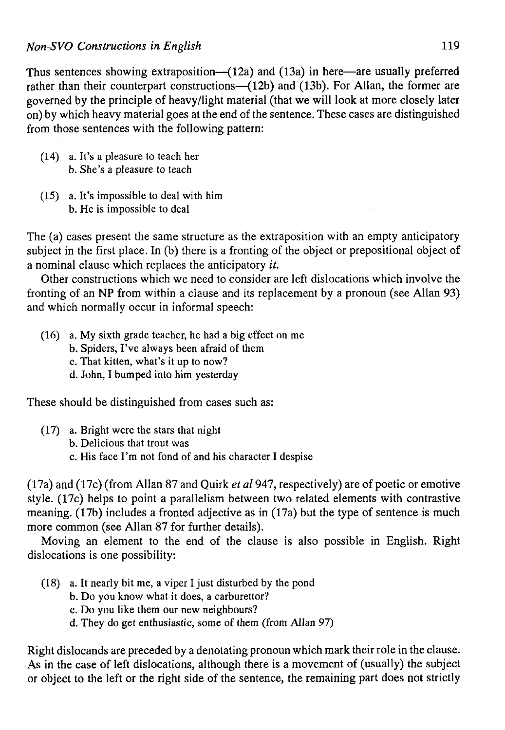Thus sentences showing extraposition— $(12a)$  and  $(13a)$  in here—are usually preferred rather than their counterpart constructions— $(12b)$  and  $(13b)$ . For Allan, the former are governed by the principie of heavy/light material (that we will look at more closely later on) by which heavy material goes at the end of the sentence. These cases are distinguished from those sentences with the following pattern:

- (14) a. It's a pleasure to teach her b. She's a pleasure to teach
- (15) a. It's impossible to deal with him b. He is impossible to deal

The (a) cases present the same structure as the extraposition with an empty anticipatory subject in the first place. In (b) there is a fronting of the object or prepositional object of a nominal clause which replaces the anticipatory *it.* 

Other constructions which we need to consider are left dislocations which involve the fronting of an NP from within a clause and its replacement by a pronoun (see Alian 93) and which normally occur in informal speech:

- (16) a. My sixth grade teacher, he had a big effect on me
	- b. Spiders, I've always been afraid of them
	- c. That kitten, what's it up to now?
	- d. John, I bumped into him yesterday

These should be distinguished from cases such as:

- (17) a. Bright were the stars that night
	- b. Delicious that trout was
	- c. His face I'm not fond of and his character I despise

(17a) and (17c) (from Alian 87 and Quirk *et al* 947, respectively) are of poetic or emotive style. (17c) helps to point a parallelism between two related elements with contrastive meaning. (17b) includes a fronted adjective as in (17a) but the type of sentence is much more common (see Alian 87 for further details).

Moving an element to the end of the clause is also possible in English. Right dislocations is one possibility:

- (18) a. It nearly bit me, a viper I just disturbed by the pond
	- b. Do you know what it does, a carburettor?
	- c. Do you like them our new neighbours?
	- d. They do get enthusiastic, some of them (from Alian 97)

Right dislocands are preceded by a denotating pronoun which mark their role in the clause. As in the case of left dislocations, although there is a movement of (usually) the subject or object to the left or the right side of the sentence, the remaining part does not strictly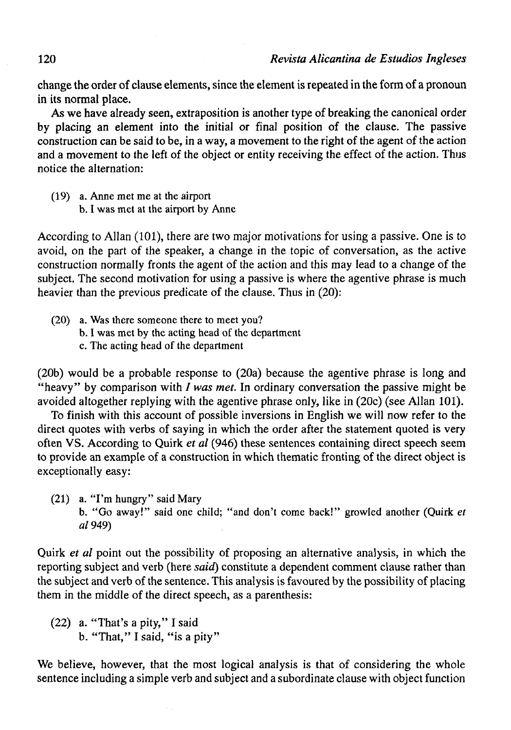change the order of clause elements, since the element is repeated in the form of a pronoun in its normal place.

As we have already seen, extraposition is another type of breaking the canonical order by placing an element into the initial or final position of the clause. The passive construction can be said to be, in a way, a movement to the right of the agent of the action and a movement to the left of the object or entity receiving the effect of the action. Thus notice the alternation:

(19) a. Anne met me at the airport b. I was met at the airport by Anne

According to Alian (101), there are two major motivations for using a passive. One is to avoid, on the part of the speaker, a change in the topic of conversation, as the active construction normally fronts the agent of the action and this may lead to a change of the subject. The second motivation for using a passive is where the agentive phrase is much heavier than the previous predicate of the clause. Thus in (20):

(20) a. Was there someone there to meet you? b. I was met by the acting head of the department c. The acting head of the department

(20b) would be a probable response to (20a) because the agentive phrase is long and "heavy" by comparison with / *was met.* In ordinary conversation the passive might be avoided altogether replying with the agentive phrase only, like in (20c) (see Alian 101).

To finish with this account of possible inversions in English we will now refer to the direct quotes with verbs of saying in which the order after the statement quoted is very often VS. According to Quirk *et al* (946) these sentences containing direct speech seem to provide an example of a construction in which thematíc fronting of the direct object is exceptionally easy:

(21) a. "I'm hungry" said Mary b. "Go away!" said one child; "and don't come back!" growled another (Quirk *et al* 949)

Quirk *et al* point out the possibility of proposing an alternative analysis, in which the reporting subject and verb (here *said)* constitute a dependent comment clause rather than the subject and verb of the sentence. This analysis is favoured by the possibility of placing them in the middle of the direct speech, as a parenthesis:

(22) a. "That's a pity," I said b. "That," I said, "is a pity"

We believe, however, that the most logical analysis is that of considering the whole sentence including a simple verb and subject and a subordínate clause with object function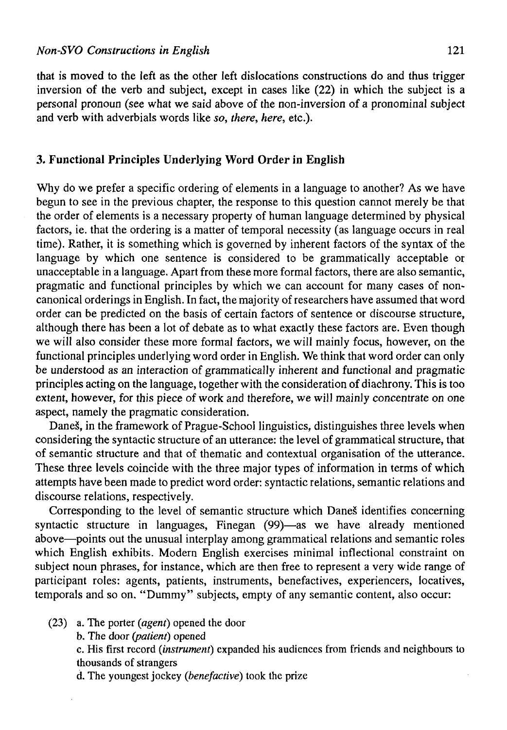that is moved to the left as the other left dislocations constructions do and thus trigger inversion of the verb and subject, except in cases like (22) in which the subject is a personal pronoun (see what we said above of the non-inversion of a pronominal subject and verb with adverbials words like *so, there, here,* etc.).

# **3. Functional Principies Underlying Word Order in English**

Why do we prefer a specific ordering of elements in a language to another? As we have begun to see in the previous chapter, the response to this question cannot merely be that the order of elements is a necessary property of human language determined by physical factors, ie. that the ordering is a matter of temporal necessity (as language occurs in real time). Rather, it is something which is governed by inherent factors of the syntax of the language by which one sentence is considered to be grammatically acceptable or unacceptable in a language. Apart from these more formal factors, there are also semantic, pragmatic and functional principies by which we can account for many cases of noncanonical orderings in English. In fact, the majority of researchers have assumed that word order can be predicted on the basis of certain factors of sentence or discourse structure, although there has been a lot of debate as to what exactly these factors are. Even though we will also consider these more formal factors, we will mainly focus, however, on the functional principies underlying word order in English. We think that word order can only be understood as an interaction of grammatically inherent and functional and pragmatic principies acting on the language, together with the consideration of diachrony. This is too extent, however, for this piece of work and therefore, we will mainly concentrate on one aspect, namely the pragmatic consideration.

Daneš, in the framework of Prague-School linguistics, distinguishes three levels when considering the syntactic structure of an utterance: the level of grammatical structure, that of semantic structure and that of thematic and contextual organisation of the utterance. These three levels coincide with the three major types of information in terms of which attempts have been made to predict word order: syntactic relations, semantic relations and discourse relations, respectively.

Corresponding to the level of semantic structure which DaneS identifies concerning syntactic structure in languages, Finegan (99)—as we have already mentioned above—points out the unusual interplay among grammatical relations and semantic roles which English exhibits. Modern English exercises minimal inflectional constraint on subject noun phrases, for instance, which are then free to represent a very wide range of participant roles: agents, patients, instruments, benefactives, experiencers, locatives, temporals and so on. "Dummy" subjects, empty of any semantic content, also occur:

- (23) a. The porter *(agenf)* opened the door
	- b. The door *(patient)* opened

c. His first record *(instrument)* expanded his audiences from friends and neighbours to thousands of strangers

d. The youngest jockey *(benefactive)* took the prize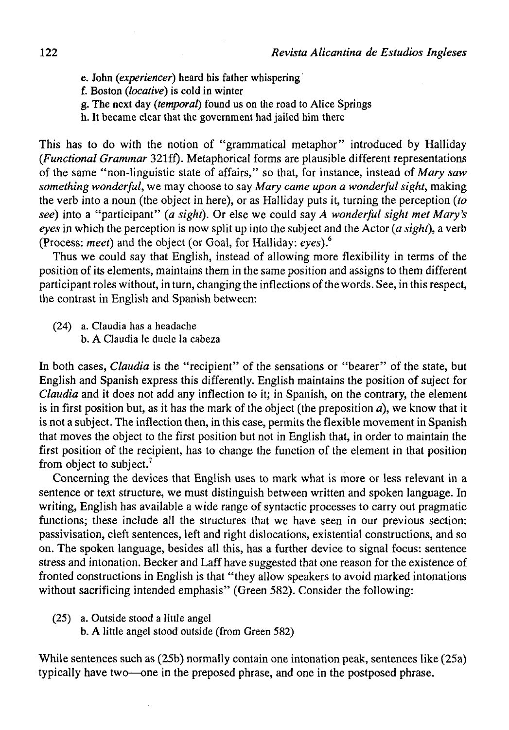- e. John *(experiencer)* heard his father whispering
- f. Boston *(locative)* is cold in winter
- g. The next day *(temporal)* found us on the road to Alice Springs
- h. It became clear that the government had jailed him there

This has to do with the notion of "grammatical metaphor" introduced by Halliday *(Functional Grammar* 321ff). Metaphorical forms are plausible different representations of the same "non-linguistic state of affairs," so that, for instance, instead of Mary saw *something wonderful,* we may choose to say *Mary carne upon a wonderful sight,* making the verb into a noun (the object in here), or as Halliday puts it, turning the perception *(to see)* into a "participant" *(a sight).* Or else we could say *A wonderful sight met Mary's eyes* in which the perception is now split up into the subject and the Actor *(a sight),* a verb (Process: *meet)* and the object (or Goal, for Halliday: *eyes).<sup>6</sup>*

Thus we could say that English, instead of allowing more flexibility in terms of the position of its elements, maintains them in the same position and assigns to them different participant roles without, in turn, changing the inflections of the words. See, in this respect, the contrast in English and Spanish between:

(24) a. Claudia has a headache b. A Claudia le duele la cabeza

In both cases, *Claudia* is the "recipient" of the sensations or "bearer" of the state, but English and Spanish express this differently. English maintains the position of suject for *Claudia* and it does not add any inflection to it; in Spanish, on the contrary, the element is in first position but, as it has the mark of the object (the preposition *a),* we know that it is not a subject. The inflection then, in this case, permits the flexible movement in Spanish that moves the object to the first position but not in English that, in order to maintain the first position of the recipient, has to change the function of the element in that position from object to subject.<sup>7</sup>

Concerning the devices that English uses to mark what is more or less relevant in a sentence or text structure, we must distinguish between written and spoken language. In writing, English has available a wide range of syntactic processes to carry out pragmatic functions; these include all the structures that we have seen in our previous section: passivisation, cleft sentences, left and right dislocatíons, existential constructions, and so on. The spoken language, besides all this, has a further device to signal focus: sentence stress and intonation. Becker and Laff have suggested that one reason for the existence of fronted constructions in English is that "they allow speakers to avoid marked intonations without sacrificing intended emphasis" (Green 582). Consider the following:

- $(25)$  a. Outside stood a little angel
	- b. A little ángel stood outside (from Green 582)

While sentences such as (25b) normally contain one intonation peak, sentences like (25a) typically have two—one in the preposed phrase, and one in the postposed phrase.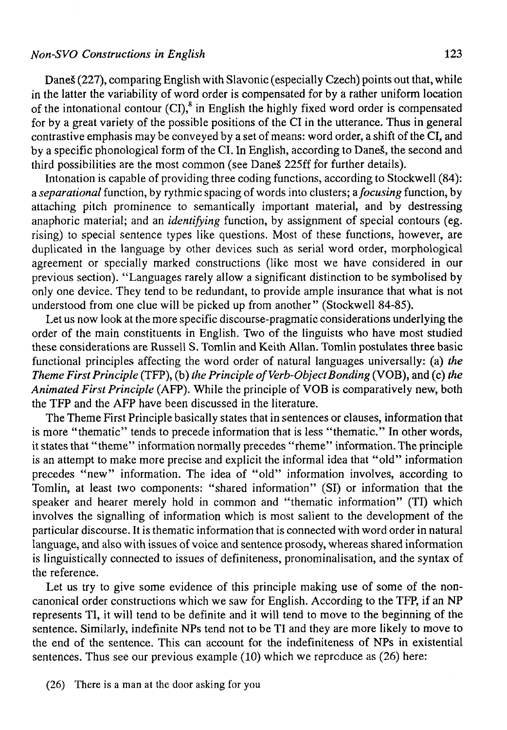# *Non-SVO Constructions in English* 123

Daneš (227), comparing English with Slavonic (especially Czech) points out that, while in the latter the variability of word order is compensated for by a rather uniform location of the intonational contour  $(CI)$ ,<sup>8</sup> in English the highly fixed word order is compensated for by a great variety of the possible positions of the CI in the utterance. Thus in general contrastive emphasis may be conveyed by a set of means: word order, a shift of the CI, and by a specific phonological form of the CI. In English, according to DaneS, the second and third possibilities are the most common (see Daneš 225ff for further details).

Intonation is capable of providing three coding functions, according to Stockwell (84): a *separational* function, by rythmic spacing of words into clusters; *afocusing* function, by attaching pitch prominence to semantically important material, and by destressing anaphoric material; and an *identifying* function, by assignment of special contours (eg. rising) to special sentence types like questions. Most of these functions, however, are duplicated in the language by other devices such as serial word order, morphological agreement or specially marked constructions (like most we have considered in our previous section). "Languages rarely allow a significant distinction to be symbolised by only one device. They tend to be redundant, to provide ampie insurance that what is not understood from one clue will be picked up from another" (Stockwell 84-85).

Let us now look at the more specific discourse-pragmatic considerations underlying the order of the main constituents in English. Two of the linguists who have most studied these considerations are Russell S. Tomlin and Keith Alian. Tomlin postulates three basic functional principies affecting the word order of natural languages universally: (a) *the Theme First Principle* (TFP), (b) the Principle of Verb-Object Bonding (VOB), and (c) the *Animated First Principie* (AFP). While the principie of VOB is comparatively new, both the TFP and the AFP have been discussed in the literature.

The Theme First Principie basically states that in sentences or clauses, information that is more "thematic" tends to precede information that is less "thematic." In other words, it states that "theme" information normally precedes "rheme" information. The principie is an attempt to make more precise and explicit the informal idea that "old" information precedes "new" information. The idea of "old" information involves, according to Tomlin, at least two components: "shared information" (SI) or information that the speaker and hearer merely hold in common and "thematic information" (TI) which involves the signalling of information which is most salient to the development of the particular discourse. It is thematic information that is connected with word order in natural language, and also with issues of voice and sentence prosody, whereas shared information is linguistically connected to issues of definiteness, pronominalisation, and the syntax of the reference.

Let us try to give some evidence of this principie making use of some of the noncanonical order constructions which we saw for English. According to the TFP, if an NP represents TI, it will tend to be definite and it will tend to move to the beginning of the sentence. Similarly, indefinite NPs tend not to be TI and they are more likely to move to the end of the sentence. This can account for the indefiniteness of NPs in existential sentences. Thus see our previous example (10) which we reproduce as (26) here: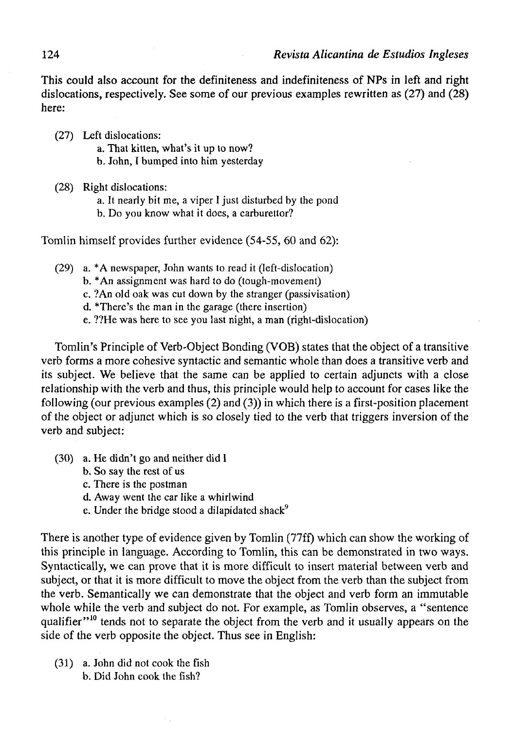This could also account for the definiteness and indefiniteness of NPs in left and right dislocations, respectively. See some of our previous examples rewritten as (27) and (28) here:

- (27) Left dislocations:
	- a. That kitten, what's it up to now?
	- b. John, I bumped into him yesterday
- (28) Right dislocations:
	- a. It nearly bit me, a viper I just disturbed by the pond
	- b. Do you know what it does, a carburettor?

Tomlin himself provides further evidence (54-55, 60 and 62):

- (29) a. \*A newspaper, John wants to read it (Ieft-dislocation)
	- b. \*An assignment was hard to do (tough-movement)
	- c. ?An oíd oak was cut down by the stranger (passivisation)
	- d. There's the man in the garage (there insertion)
	- e. ??He was here to see you last night, a man (right-dislocation)

Tomlin's Principie of Verb-Object Bonding (VOB) states that the object of a transitive verb forms a more cohesive syntactic and semantic whole than does a transitive verb and its subject. We believe that the same can be applied to certain adjuncts with a close relationship with the verb and thus, this principie would help to account for cases like the following (our previous examples (2) and (3)) in which there is a first-position placement of the object or adjunct which is so closely tied to the verb that triggers inversión of the verb and subject:

- (30) a. He didn't go and neither did I
	- b. So say the rest of us
	- c. There is the postman
	- d. Away went the car like a whirlwind
	- e. Under the bridge stood a dilapidated shack<sup>9</sup>

There is another type of evidence given by Tomlin (77ff) which can show the working of this principie in language. According to Tomlin, this can be demonstrated in two ways. Syntactically, we can prove that it is more difficult to insert material between verb and subject, or that it is more difficult to move the object from the verb than the subject from the verb. Semantically we can demónstrate that the object and verb form an immutable whole while the verb and subject do not. For example, as Tomlin observes, a "sentence qualifier"<sup>10</sup> tends not to separate the object from the verb and it usually appears on the side of the verb opposite the object. Thus see in English:

(31) a. John did not cook the fish b. Did John cook the físh?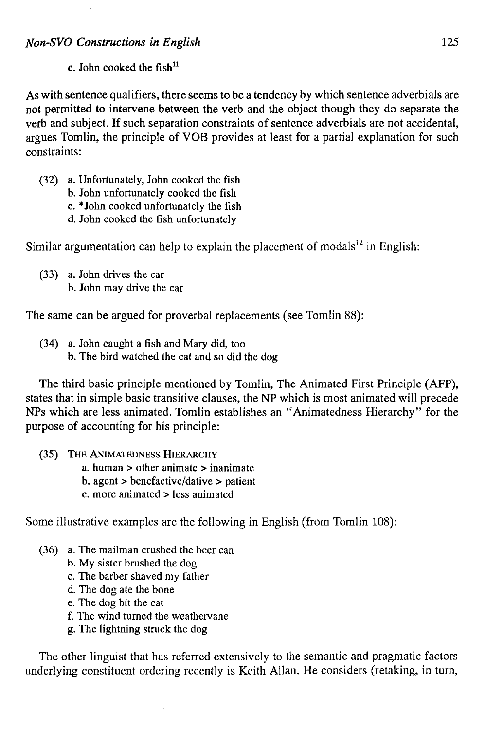As with sentence qualifiers, there seems to be a tendency by which sentence adverbials are not permitted to intervene between the verb and the object though they do separate the verb and subject. If such separation constraints of sentence adverbials are not accidental, argües Tomlin, the principie of VOB provides at least for a partial explanation for such constraints:

- (32) a. Unfortunately, John cooked the fish
	- b. John unfortunately cooked the fish
	- c. \*John cooked unfortunately the fish
	- d. John cooked the fish unfortunately

Similar argumentation can help to explain the placement of modals<sup>12</sup> in English:

(33) a. John drives the car b. John may drive the car

The same can be argued for proverbal replacements (see Tomlin 88):

(34) a. John caught a fish and Mary did, too b. The bird watched the cat and so did the dog

The third basic principie mentioned by Tomlin, The Animated First Principie (AFP), states that in simple basic transitive clauses, the NP which is most animated will precede NPs which are less animated. Tomlin establishes an "Animatedness Hierarchy" for the purpose of accounting for his principie:

- (35) THE ANIMATEDNESS HIERARCHY
	- a. human > other animate > inanimate
	- b. agent > benefactive/dative > patient
	- c. more animated > less animated

Some illustrative examples are the following in English (from Tomlin 108):

- (36) a. The mailman crushed the beer can
	- b. My sister brushed the dog
	- c. The barber shaved my father
	- d. The dog ate the bone
	- e. The dog bit the cat
	- f. The wind turned the weathervane
	- g. The lightning struck the dog

The other linguist that has referred extensively to the semantic and pragmatic factors underlying constituent ordering recently is Keith Alian. He considers (retaking, in turn,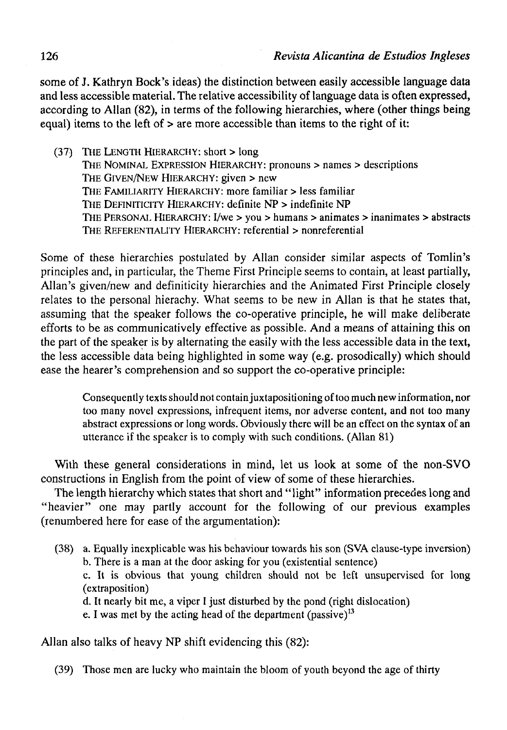some of J. Kathryn Bock's ideas) the distinction between easily accessible language data and less accessible material. The relative accessibility of language data is often expressed, according to Alian (82), in terms of the following hierarchies, where (other things being equal) items to the left of > are more accessible than items to the right of it:

(37) THE LENGTH HIERARCHY: short > long THE NOMINAL EXPRESSION HIERARCHY: pronouns > ñames > descriptions THE GIVEN/NEW HIERARCHY: given > new THE FAMILIARITY HIERARCHY: more familiar > less familiar THE DEFINITICITY HIERARCHY: definite NP > indefinite NP THE PERSONAL HIERARCHY: I/we > you > humans > animates > inanimates > abstracts THE REFERENTIALITY HIERARCHY: referential > nonreferential

Some of these hierarchies postulated by Alian consider similar aspects of Tomlin's principies and, in particular, the Theme First Principie seems to contain, at least partially, Allan's given/new and definiticity hierarchies and the Animated First Principie closely relates to the personal hierachy. What seems to be new in Alian is that he states that, assuming that the speaker follows the co-operative principie, he will make delibérate efforts to be as communicatively effective as possible. And a means of attaining this on the part of the speaker is by alternating the easily with the less accessible data in the text, the less accessible data being highlighted in some way (e.g. prosodically) which should ease the hearer's comprehension and so support the co-operative principie:

Consequently texts should not contain juxtapositioning of too much new information, ñor too many novel expressions, infrequent items, ñor adverse content, and not too many abstract expressions or long words. Obviously there will be an effect on the syntax of an utterance if the speaker is to comply with such conditions. (Alian 81)

With these general considerations in mind, let us look at some of the non-SVO constructions in English from the point of view of some of these hierarchies.

The length hierarchy which states that short and "light" information precedes long and "heavier" one may partly account for the following of our previous examples (renumbered here for ease of the argumentation):

(38) a. Equally inexplicable was his behaviour towards his son (SVA clause-type inversión) b. There is a man at the door asking for you (existential sentence)

c. It is obvious that young children should not be left unsupervised for long (extraposition)

d. It nearly bit me, a viper I just disturbed by the pond (right dislocation)

e. I was met by the acting head of the department (passive) $13$ 

Alian also talks of heavy NP shift evidencing this (82):

(39) Those men are lucky who maintain the bloom of youth beyond the age of thirty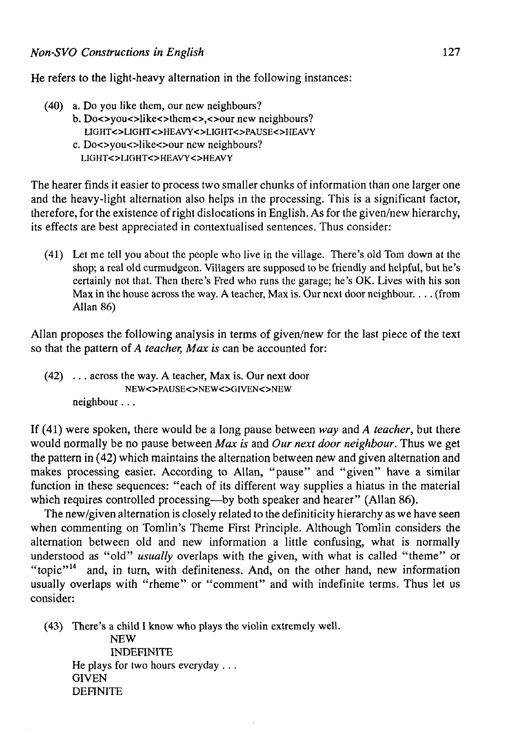He refers to the light-heavy alternation in the following instances:

- (40) a. Do you like them, our new neighbours?
	- b. Do<>you<>like<>them<><<>our new neighbours? LIGHT<>LIGHT<>HEAVY<>LIGHT<>PAUSE<>HEAVY
		- c. Do<>you<>like<>our new neighbours? LIGHT<>LIGHT<>HEAVY<>HEAVY

The hearer finds it easier to process two smaller chunks of information than one larger one and the heavy-light alternation also helps in the processing. This is a significant factor, therefore, for the existence of right dislocations in English. As for the given/new hierarchy, its effects are best appreciated in contextualised sentences. Thus consider:

(41) Let me tell you about the people who live in the village. There's oíd Tom down at the shop; a real old curmudgeon. Villagers are supposed to be friendly and helpful, but he's certainly not that. Then there's Fred who runs the garage; he's OK. Lives with his son Max in the house across the way. A teacher, Max is. Our next door neighbour.. .. (from Alian 86)

Alian proposes the following analysis in terms of given/new for the last piece of the text so that the pattern *oí A teacher, Max is* can be accounted for:

(42) .. . across the way. A teacher, Max is. Our next door NEW<>PAUSE<>NEW<>GIVEN<>NEW neighbour. ..

If (41) were spoken, there would be a long pause between *way* and *A teacher,* but there would normally be no pause between *Max is* and *Our next door neighbour.* Thus we get the pattern in (42) which maintains the alternation between new and given alternation and makes processing easier. According to Alian, "pause" and "given" have a similar function in these sequences: "each of its different way supplies a hiatus in the material which requires controlled processing—by both speaker and hearer" (Allan 86).

The new/given alternation is closely related to the definiticity hierarchy as we have seen when commenting on Tomlin's Theme First Principie. Although Tomlin considers the alternation between old and new information a little confusing, what is normally understood as "oíd" *usually* overlaps with the given, with what is called "theme" or "topic"<sup>14</sup> and, in turn, with definiteness. And, on the other hand, new information usually overlaps with "rheme" or "comment" and with indefinite terms. Thus let us consider:

(43) There's a child I know who plays the violin extremely well. NEW INDEFINITE He plays for two hours everyday . . . **GIVEN DEFINITE**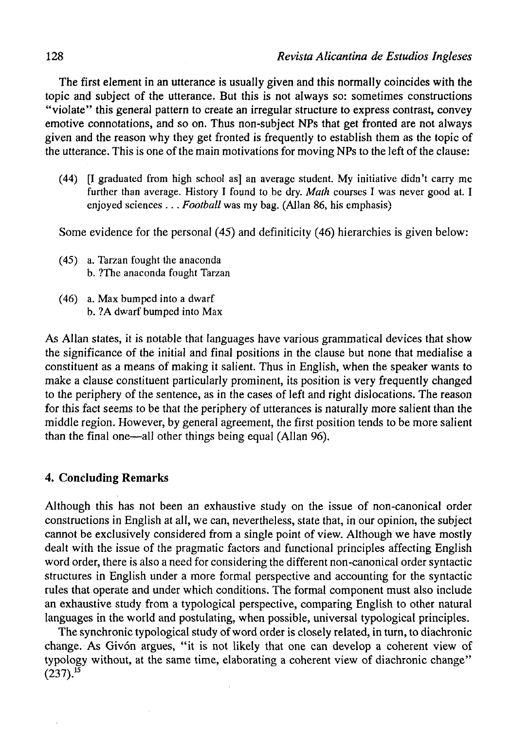The first element in an utterance is usually given and this normally coincides with the topic and subject of the utterance. But this is not always so: sometimes constructions "violate" this general pattern to create an irregular structure to express contrast, convey emotive connotations, and so on. Thus non-subject NPs that get fronted are not always given and the reason why they get fronted is frequently to establish them as the topic of the utterance. This is one of the main motivations for moving NPs to the left of the clause:

(44) [I graduated from high school as] an average student. My initiative didn't carry me further than average. History I found to be dry. *Math* courses I was never good at. I enjoyed sciences .. . *Football* was my bag. (Alian 86, his emphasis)

Some evidence for the personal (45) and definiticity (46) hierarchies is given below:

- (45) a. Tarzan fought the anaconda b. ?The anaconda fought Tarzan
- (46) a. Max bumped into a dwarf b. ?A dwarf bumped into Max

As Alian states, it is notable that languages have various grammatical devices that show the significance of the initial and final positions in the clause but none that medialise a constituent as a means of making it salient. Thus in English, when the speaker wants to make a clause constituent particularly prominent, its position is very frequently changed to the periphery of the sentence, as in the cases of left and right dislocations. The reason for this fact seems to be that the periphery of utterances is naturally more salient than the middle región. However, by general agreement, the first position tends to be more salient than the final one—all other things being equal (Alian 96).

# **4. Concluding Remarks**

Although this has not been an exhaustive study on the issue of non-canonical order constructions in English at all, we can, nevertheless, state that, in our opinión, the subject cannot be exclusively considered from a single point of view. Although we have mostly dealt with the issue of the pragmatic factors and functional principies affecting English word order, there is also a need for considering the different non-canonical order syntactic structures in English under a more formal perspective and accounting for the syntactic rules that operate and under which conditions. The formal component must also include an exhaustive study from a typological perspective, comparing English to other natural languages in the world and postulating, when possible, universal typological principies.

The synchronic typological study of word order is closely related, in turn, to diachronic change. As Givón argües, "it is not likely that one can develop a coherent view of typology without, at the same time, elaborating a coherent view of diachronic change"  $(237).$ <sup>15</sup>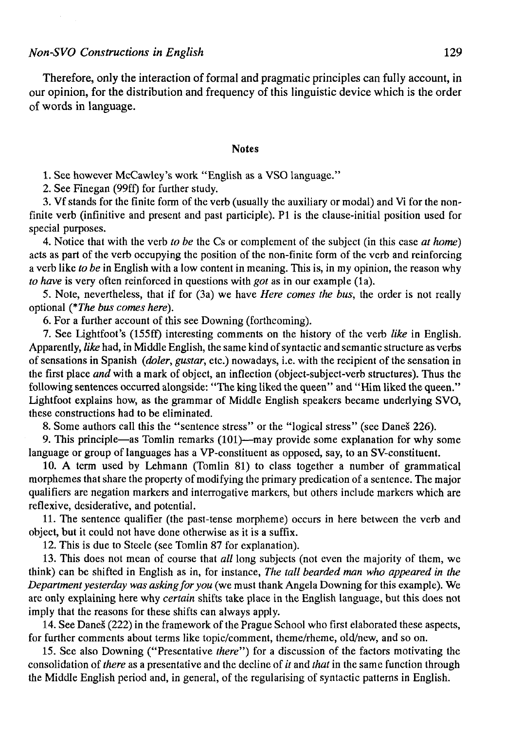Therefore, only the interaction of formal and pragmatic principies can fully account, in our opinión, for the distribution and frequency of this linguístic device which is the order of words in language.

#### Notes

1. See however McCawley's work "English as a VSO language."

2. See Finegan (99ff) for further study.

3. Vf stands for the finite form of the verb (usually the auxiliary or modal) and Vi for the nonfinite verb (infinitive and present and past participle). Pl is the clause-initial position used for special purposes.

4. Notice that with the verb *to be* the Cs or complement of the subject (in this case *at homé)*  acts as part of the verb occupying the position of the non-finite form of the verb and reinforcing a verb like *to be* in English with a low content in meaning. This is, in my opinión, the reason why *to have* is very often reinforced in questions with *got* as in our example (la).

5. Note, nevertheless, that if for (3a) we have *Here comes the bus,* the order is not really optional *(\*The bus comes here).* 

6. For a further account of this see Downing (forthcoming).

7. See Lightfoot's (155ff) interesting comments on the history of the verb *like* in English. Apparently, *like* had, in Middle English, the same kind of syntactic and semantic structure as verbs of sensations in Spanish *(doler, gustar,* etc.) nowadays, i.e. with the recipient of the sensation in the first place and with a mark of object, an inflection (object-subject-verb structures). Thus the following sentences occurred alongside: "The king liked the queen" and "Him liked the queen." Lightfoot explains how, as the grammar of Middle English speakers became underlying SVO, these constructions had to be eliminated.

8. Some authors cali this the "sentence stress" or the "logical stress" (see Danés 226).

9. This principie—as Tomlin remarks (101)—may provide some explanation for why some language or group of languages has a VP-constituent as opposed, say, to an SV-constituent.

10. A term used by Lehmann (Tomlin 81) to class together a number of grammatical morphemes that share the property of modifying the primary predication of a sentence. The major qualifiers are negation markers and interrogative markers, but others include markers which are reflexive, desiderative, and potential.

11. The sentence qualifier (the past-tense morpheme) occurs in here between the verb and object, but it could not have done otherwise as it is a suffix.

12. This is due to Steele (see Tomlin 87 for explanation).

13. This does not mean of course that *all* long subjects (not even the majority of them, we think) can be shifted in English as in, for instance, *The tall bearded man who appeared in the Departmentyesterday was askingforyou* (we must thank Angela Downing for this example). We are only explaining here why *certain* shifts take place in the English language, but this does not imply that the reasons for these shifts can always apply.

14. See Danés (222) in the framework of the Prague School who first elaborated these aspects, for further comments about terms like topic/comment, theme/rheme, old/new, and so on.

15. See also Downing ("Presentative *there")* for a discussion of the factors motivating the consolidation of *there* as a presentative and the decline of *it* and *that* in the same function through the Middle English period and, in general, of the regularising of syntactic patterns in English.